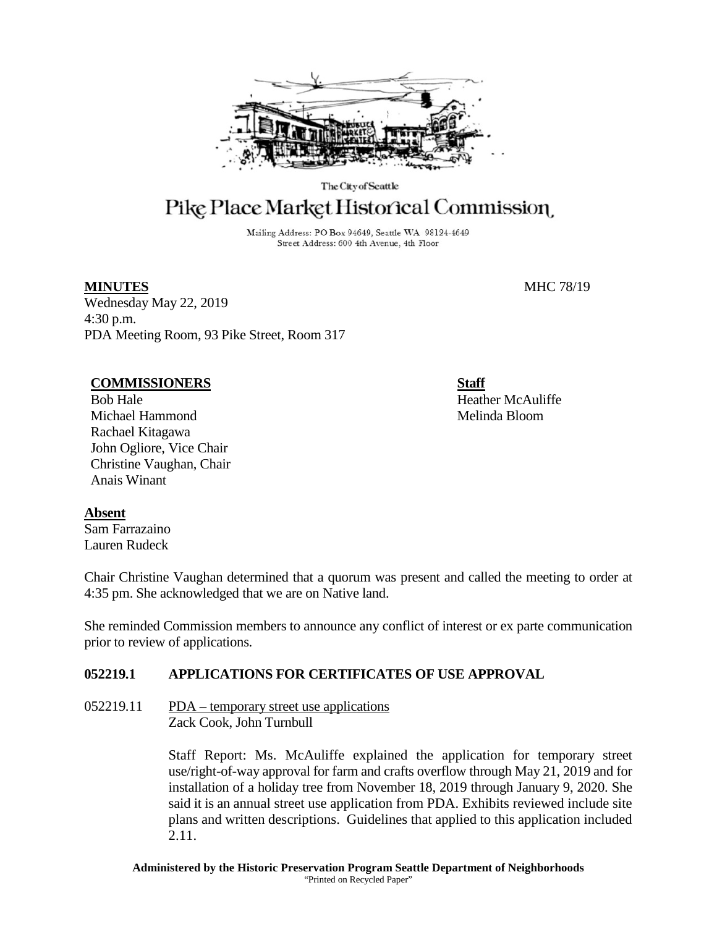

The City of Seattle

# Pike Place Market Historical Commission

Mailing Address: PO Box 94649, Seattle WA 98124-4649 Street Address: 600 4th Avenue, 4th Floor

Wednesday May 22, 2019 4:30 p.m. PDA Meeting Room, 93 Pike Street, Room 317

#### **COMMISSIONERS**

Bob Hale Michael Hammond Rachael Kitagawa John Ogliore, Vice Chair Christine Vaughan, Chair Anais Winant

**Absent** Sam Farrazaino Lauren Rudeck

Chair Christine Vaughan determined that a quorum was present and called the meeting to order at 4:35 pm. She acknowledged that we are on Native land.

She reminded Commission members to announce any conflict of interest or ex parte communication prior to review of applications.

# **052219.1 APPLICATIONS FOR CERTIFICATES OF USE APPROVAL**

 $052219.11$  PDA – temporary street use applications Zack Cook, John Turnbull

> Staff Report: Ms. McAuliffe explained the application for temporary street use/right-of-way approval for farm and crafts overflow through May 21, 2019 and for installation of a holiday tree from November 18, 2019 through January 9, 2020. She said it is an annual street use application from PDA. Exhibits reviewed include site plans and written descriptions. Guidelines that applied to this application included 2.11.

**MINUTES** MHC 78/19

**Staff** Heather McAuliffe Melinda Bloom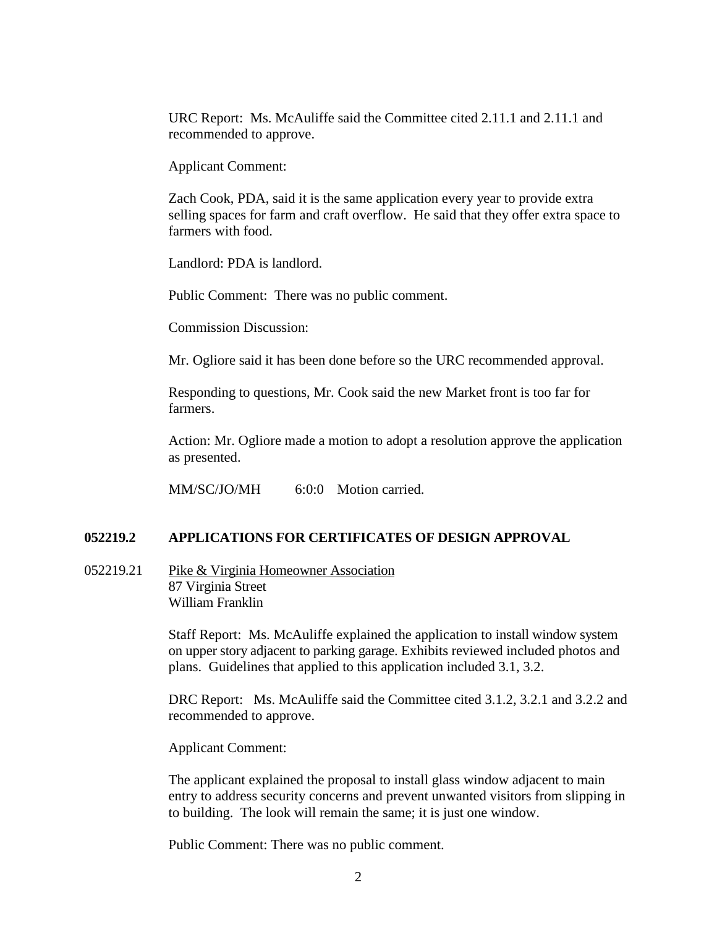URC Report: Ms. McAuliffe said the Committee cited 2.11.1 and 2.11.1 and recommended to approve.

Applicant Comment:

Zach Cook, PDA, said it is the same application every year to provide extra selling spaces for farm and craft overflow. He said that they offer extra space to farmers with food.

Landlord: PDA is landlord.

Public Comment: There was no public comment.

Commission Discussion:

Mr. Ogliore said it has been done before so the URC recommended approval.

Responding to questions, Mr. Cook said the new Market front is too far for farmers.

Action: Mr. Ogliore made a motion to adopt a resolution approve the application as presented.

MM/SC/JO/MH 6:0:0 Motion carried.

### **052219.2 APPLICATIONS FOR CERTIFICATES OF DESIGN APPROVAL**

052219.21 Pike & Virginia Homeowner Association 87 Virginia Street William Franklin

> Staff Report: Ms. McAuliffe explained the application to install window system on upper story adjacent to parking garage. Exhibits reviewed included photos and plans. Guidelines that applied to this application included 3.1, 3.2.

DRC Report: Ms. McAuliffe said the Committee cited 3.1.2, 3.2.1 and 3.2.2 and recommended to approve.

Applicant Comment:

The applicant explained the proposal to install glass window adjacent to main entry to address security concerns and prevent unwanted visitors from slipping in to building. The look will remain the same; it is just one window.

Public Comment: There was no public comment.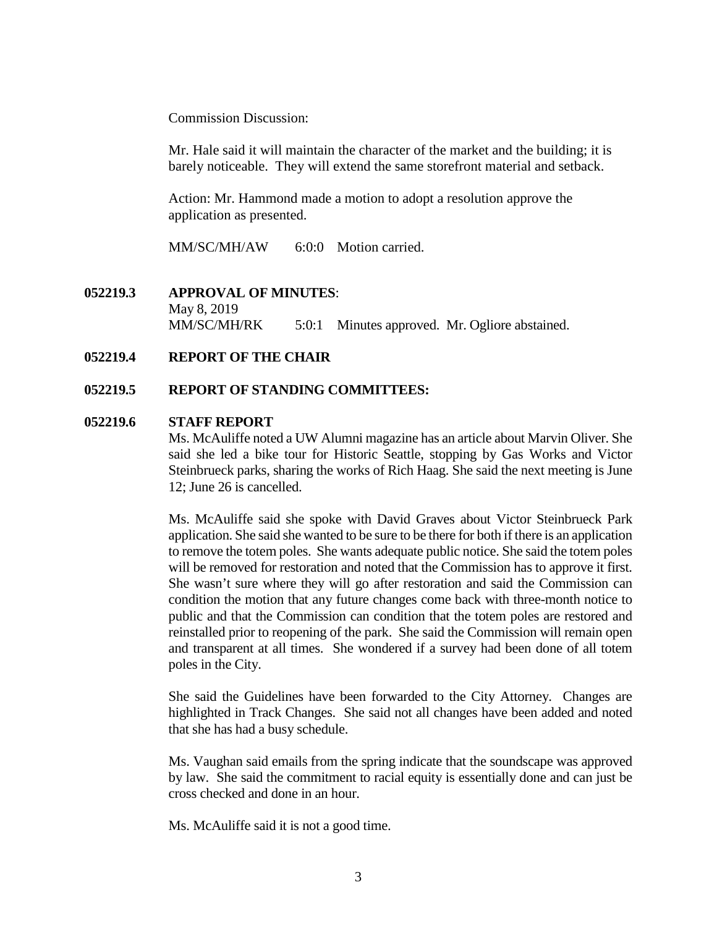Commission Discussion:

Mr. Hale said it will maintain the character of the market and the building; it is barely noticeable. They will extend the same storefront material and setback.

Action: Mr. Hammond made a motion to adopt a resolution approve the application as presented.

MM/SC/MH/AW 6:0:0 Motion carried.

**052219.3 APPROVAL OF MINUTES**: May 8, 2019 MM/SC/MH/RK 5:0:1 Minutes approved. Mr. Ogliore abstained.

# **052219.4 REPORT OF THE CHAIR**

# **052219.5 REPORT OF STANDING COMMITTEES:**

# **052219.6 STAFF REPORT**

Ms. McAuliffe noted a UW Alumni magazine has an article about Marvin Oliver. She said she led a bike tour for Historic Seattle, stopping by Gas Works and Victor Steinbrueck parks, sharing the works of Rich Haag. She said the next meeting is June 12; June 26 is cancelled.

Ms. McAuliffe said she spoke with David Graves about Victor Steinbrueck Park application. She said she wanted to be sure to be there for both if there is an application to remove the totem poles. She wants adequate public notice. She said the totem poles will be removed for restoration and noted that the Commission has to approve it first. She wasn't sure where they will go after restoration and said the Commission can condition the motion that any future changes come back with three-month notice to public and that the Commission can condition that the totem poles are restored and reinstalled prior to reopening of the park. She said the Commission will remain open and transparent at all times. She wondered if a survey had been done of all totem poles in the City.

She said the Guidelines have been forwarded to the City Attorney. Changes are highlighted in Track Changes. She said not all changes have been added and noted that she has had a busy schedule.

Ms. Vaughan said emails from the spring indicate that the soundscape was approved by law. She said the commitment to racial equity is essentially done and can just be cross checked and done in an hour.

Ms. McAuliffe said it is not a good time.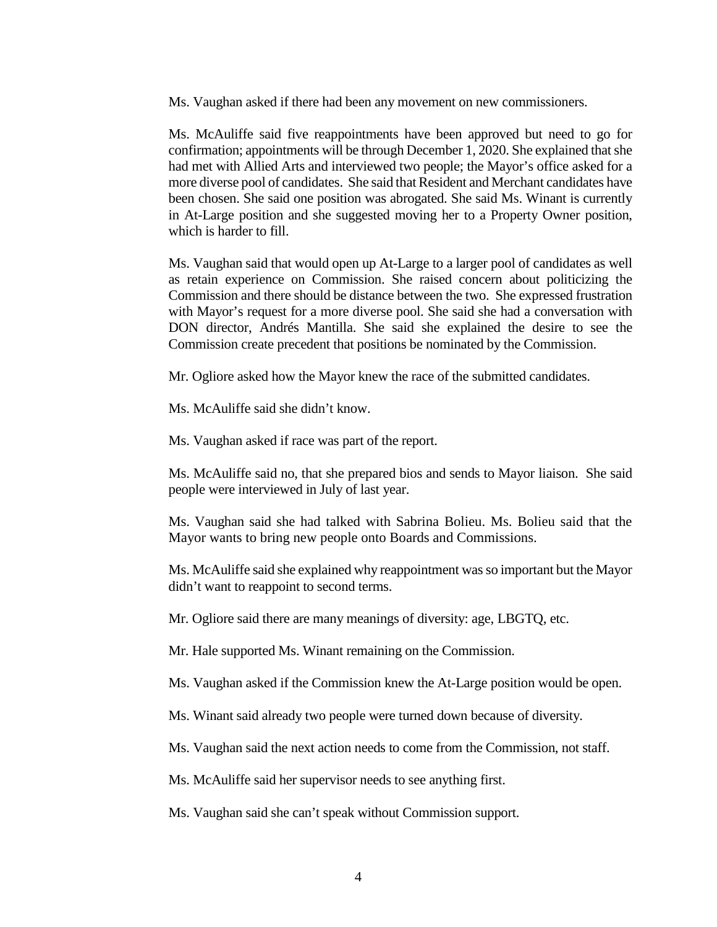Ms. Vaughan asked if there had been any movement on new commissioners.

Ms. McAuliffe said five reappointments have been approved but need to go for confirmation; appointments will be through December 1, 2020. She explained that she had met with Allied Arts and interviewed two people; the Mayor's office asked for a more diverse pool of candidates. She said that Resident and Merchant candidates have been chosen. She said one position was abrogated. She said Ms. Winant is currently in At-Large position and she suggested moving her to a Property Owner position, which is harder to fill.

Ms. Vaughan said that would open up At-Large to a larger pool of candidates as well as retain experience on Commission. She raised concern about politicizing the Commission and there should be distance between the two. She expressed frustration with Mayor's request for a more diverse pool. She said she had a conversation with DON director, Andrés Mantilla. She said she explained the desire to see the Commission create precedent that positions be nominated by the Commission.

Mr. Ogliore asked how the Mayor knew the race of the submitted candidates.

Ms. McAuliffe said she didn't know.

Ms. Vaughan asked if race was part of the report.

Ms. McAuliffe said no, that she prepared bios and sends to Mayor liaison. She said people were interviewed in July of last year.

Ms. Vaughan said she had talked with Sabrina Bolieu. Ms. Bolieu said that the Mayor wants to bring new people onto Boards and Commissions.

Ms. McAuliffe said she explained why reappointment was so important but the Mayor didn't want to reappoint to second terms.

Mr. Ogliore said there are many meanings of diversity: age, LBGTQ, etc.

Mr. Hale supported Ms. Winant remaining on the Commission.

Ms. Vaughan asked if the Commission knew the At-Large position would be open.

Ms. Winant said already two people were turned down because of diversity.

Ms. Vaughan said the next action needs to come from the Commission, not staff.

Ms. McAuliffe said her supervisor needs to see anything first.

Ms. Vaughan said she can't speak without Commission support.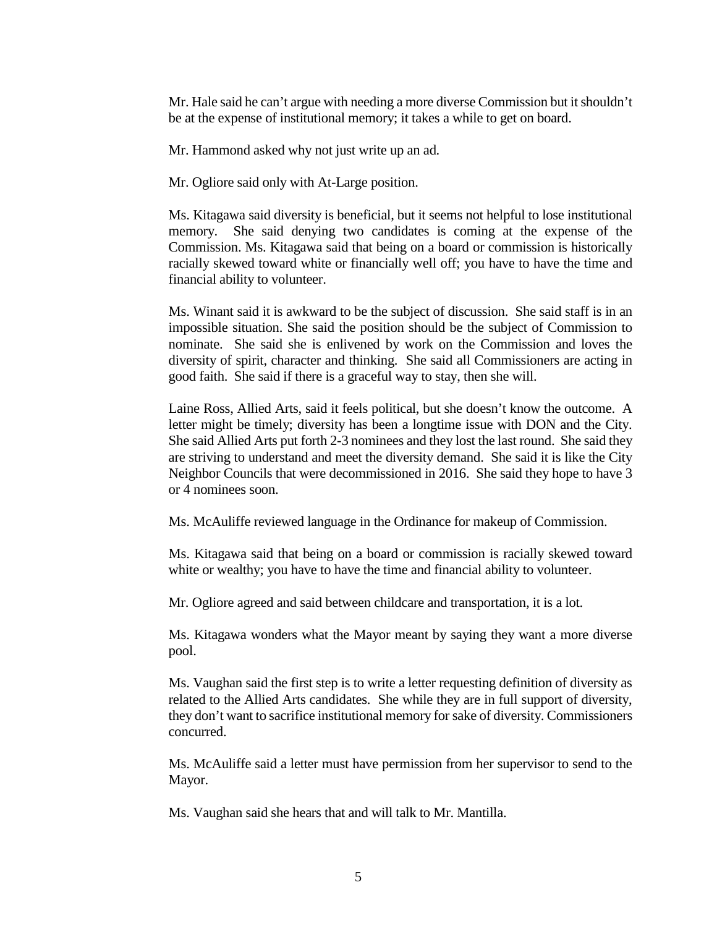Mr. Hale said he can't argue with needing a more diverse Commission but it shouldn't be at the expense of institutional memory; it takes a while to get on board.

Mr. Hammond asked why not just write up an ad.

Mr. Ogliore said only with At-Large position.

Ms. Kitagawa said diversity is beneficial, but it seems not helpful to lose institutional memory. She said denying two candidates is coming at the expense of the Commission. Ms. Kitagawa said that being on a board or commission is historically racially skewed toward white or financially well off; you have to have the time and financial ability to volunteer.

Ms. Winant said it is awkward to be the subject of discussion. She said staff is in an impossible situation. She said the position should be the subject of Commission to nominate. She said she is enlivened by work on the Commission and loves the diversity of spirit, character and thinking. She said all Commissioners are acting in good faith. She said if there is a graceful way to stay, then she will.

Laine Ross, Allied Arts, said it feels political, but she doesn't know the outcome. A letter might be timely; diversity has been a longtime issue with DON and the City. She said Allied Arts put forth 2-3 nominees and they lost the last round. She said they are striving to understand and meet the diversity demand. She said it is like the City Neighbor Councils that were decommissioned in 2016. She said they hope to have 3 or 4 nominees soon.

Ms. McAuliffe reviewed language in the Ordinance for makeup of Commission.

Ms. Kitagawa said that being on a board or commission is racially skewed toward white or wealthy; you have to have the time and financial ability to volunteer.

Mr. Ogliore agreed and said between childcare and transportation, it is a lot.

Ms. Kitagawa wonders what the Mayor meant by saying they want a more diverse pool.

Ms. Vaughan said the first step is to write a letter requesting definition of diversity as related to the Allied Arts candidates. She while they are in full support of diversity, they don't want to sacrifice institutional memory for sake of diversity. Commissioners concurred.

Ms. McAuliffe said a letter must have permission from her supervisor to send to the Mayor.

Ms. Vaughan said she hears that and will talk to Mr. Mantilla.